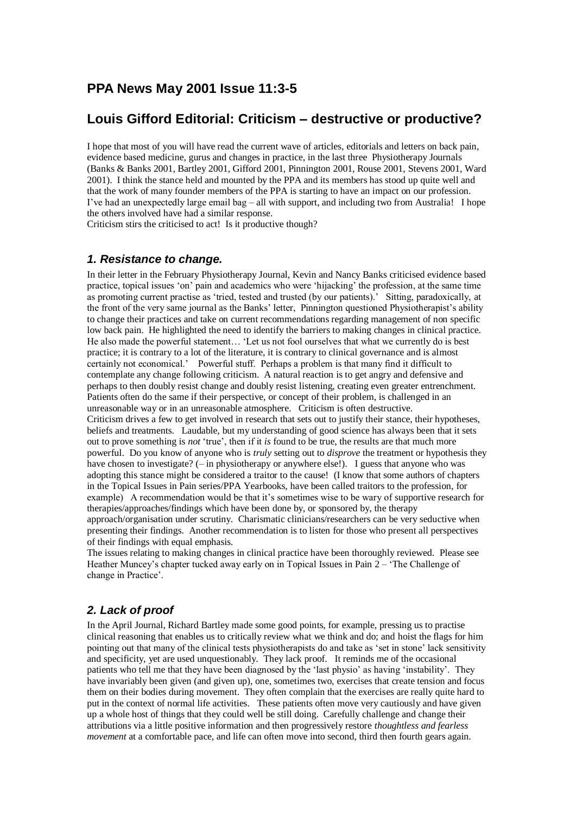# **PPA News May 2001 Issue 11:3-5**

## **Louis Gifford Editorial: Criticism – destructive or productive?**

I hope that most of you will have read the current wave of articles, editorials and letters on back pain, evidence based medicine, gurus and changes in practice, in the last three Physiotherapy Journals (Banks & Banks 2001, Bartley 2001, Gifford 2001, Pinnington 2001, Rouse 2001, Stevens 2001, Ward 2001). I think the stance held and mounted by the PPA and its members has stood up quite well and that the work of many founder members of the PPA is starting to have an impact on our profession. I've had an unexpectedly large email bag – all with support, and including two from Australia! I hope the others involved have had a similar response.

Criticism stirs the criticised to act! Is it productive though?

### *1. Resistance to change.*

In their letter in the February Physiotherapy Journal, Kevin and Nancy Banks criticised evidence based practice, topical issues 'on' pain and academics who were 'hijacking' the profession, at the same time as promoting current practise as 'tried, tested and trusted (by our patients).' Sitting, paradoxically, at the front of the very same journal as the Banks' letter, Pinnington questioned Physiotherapist's ability to change their practices and take on current recommendations regarding management of non specific low back pain. He highlighted the need to identify the barriers to making changes in clinical practice. He also made the powerful statement… 'Let us not fool ourselves that what we currently do is best practice; it is contrary to a lot of the literature, it is contrary to clinical governance and is almost certainly not economical.' Powerful stuff. Perhaps a problem is that many find it difficult to contemplate any change following criticism. A natural reaction is to get angry and defensive and perhaps to then doubly resist change and doubly resist listening, creating even greater entrenchment. Patients often do the same if their perspective, or concept of their problem, is challenged in an unreasonable way or in an unreasonable atmosphere. Criticism is often destructive. Criticism drives a few to get involved in research that sets out to justify their stance, their hypotheses, beliefs and treatments. Laudable, but my understanding of good science has always been that it sets out to prove something is *not* 'true', then if it *is* found to be true, the results are that much more powerful. Do you know of anyone who is *truly* setting out to *disprove* the treatment or hypothesis they have chosen to investigate? (– in physiotherapy or anywhere else!). I guess that anyone who was adopting this stance might be considered a traitor to the cause! (I know that some authors of chapters in the Topical Issues in Pain series/PPA Yearbooks, have been called traitors to the profession, for example) A recommendation would be that it's sometimes wise to be wary of supportive research for therapies/approaches/findings which have been done by, or sponsored by, the therapy approach/organisation under scrutiny. Charismatic clinicians/researchers can be very seductive when presenting their findings. Another recommendation is to listen for those who present all perspectives of their findings with equal emphasis.

The issues relating to making changes in clinical practice have been thoroughly reviewed. Please see Heather Muncey's chapter tucked away early on in Topical Issues in Pain 2 – 'The Challenge of change in Practice'.

## *2. Lack of proof*

In the April Journal, Richard Bartley made some good points, for example, pressing us to practise clinical reasoning that enables us to critically review what we think and do; and hoist the flags for him pointing out that many of the clinical tests physiotherapists do and take as 'set in stone' lack sensitivity and specificity, yet are used unquestionably. They lack proof. It reminds me of the occasional patients who tell me that they have been diagnosed by the 'last physio' as having 'instability'. They have invariably been given (and given up), one, sometimes two, exercises that create tension and focus them on their bodies during movement. They often complain that the exercises are really quite hard to put in the context of normal life activities. These patients often move very cautiously and have given up a whole host of things that they could well be still doing. Carefully challenge and change their attributions via a little positive information and then progressively restore *thoughtless and fearless movement* at a comfortable pace, and life can often move into second, third then fourth gears again.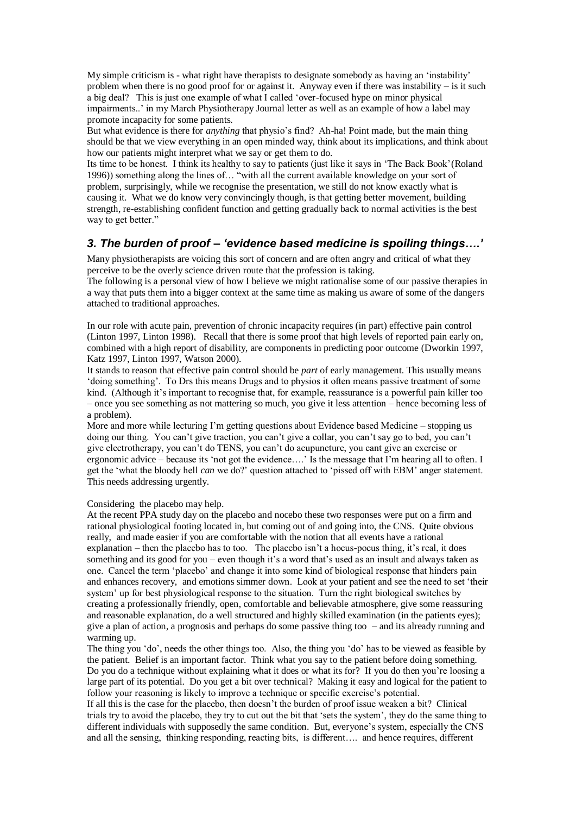My simple criticism is - what right have therapists to designate somebody as having an 'instability' problem when there is no good proof for or against it. Anyway even if there was instability – is it such a big deal? This is just one example of what I called 'over-focused hype on minor physical impairments..' in my March Physiotherapy Journal letter as well as an example of how a label may promote incapacity for some patients.

But what evidence is there for *anything* that physio's find? Ah-ha! Point made, but the main thing should be that we view everything in an open minded way, think about its implications, and think about how our patients might interpret what we say or get them to do.

Its time to be honest. I think its healthy to say to patients (just like it says in 'The Back Book'(Roland 1996)) something along the lines of… "with all the current available knowledge on your sort of problem, surprisingly, while we recognise the presentation, we still do not know exactly what is causing it. What we do know very convincingly though, is that getting better movement, building strength, re-establishing confident function and getting gradually back to normal activities is the best way to get better."

### *3. The burden of proof – 'evidence based medicine is spoiling things….'*

Many physiotherapists are voicing this sort of concern and are often angry and critical of what they perceive to be the overly science driven route that the profession is taking.

The following is a personal view of how I believe we might rationalise some of our passive therapies in a way that puts them into a bigger context at the same time as making us aware of some of the dangers attached to traditional approaches.

In our role with acute pain, prevention of chronic incapacity requires (in part) effective pain control (Linton 1997, Linton 1998). Recall that there is some proof that high levels of reported pain early on, combined with a high report of disability, are components in predicting poor outcome (Dworkin 1997, Katz 1997, Linton 1997, Watson 2000).

It stands to reason that effective pain control should be *part* of early management. This usually means 'doing something'. To Drs this means Drugs and to physios it often means passive treatment of some kind. (Although it's important to recognise that, for example, reassurance is a powerful pain killer too – once you see something as not mattering so much, you give it less attention – hence becoming less of a problem).

More and more while lecturing I'm getting questions about Evidence based Medicine – stopping us doing our thing. You can't give traction, you can't give a collar, you can't say go to bed, you can't give electrotherapy, you can't do TENS, you can't do acupuncture, you cant give an exercise or ergonomic advice – because its 'not got the evidence….' Is the message that I'm hearing all to often. I get the 'what the bloody hell *can* we do?' question attached to 'pissed off with EBM' anger statement. This needs addressing urgently.

Considering the placebo may help.

At the recent PPA study day on the placebo and nocebo these two responses were put on a firm and rational physiological footing located in, but coming out of and going into, the CNS. Quite obvious really, and made easier if you are comfortable with the notion that all events have a rational explanation – then the placebo has to too. The placebo isn't a hocus-pocus thing, it's real, it does something and its good for you – even though it's a word that's used as an insult and always taken as one. Cancel the term 'placebo' and change it into some kind of biological response that hinders pain and enhances recovery, and emotions simmer down. Look at your patient and see the need to set 'their system' up for best physiological response to the situation. Turn the right biological switches by creating a professionally friendly, open, comfortable and believable atmosphere, give some reassuring and reasonable explanation, do a well structured and highly skilled examination (in the patients eyes); give a plan of action, a prognosis and perhaps do some passive thing too – and its already running and warming up.

The thing you 'do', needs the other things too. Also, the thing you 'do' has to be viewed as feasible by the patient. Belief is an important factor. Think what you say to the patient before doing something. Do you do a technique without explaining what it does or what its for? If you do then you're loosing a large part of its potential. Do you get a bit over technical? Making it easy and logical for the patient to follow your reasoning is likely to improve a technique or specific exercise's potential.

If all this is the case for the placebo, then doesn't the burden of proof issue weaken a bit? Clinical trials try to avoid the placebo, they try to cut out the bit that 'sets the system', they do the same thing to different individuals with supposedly the same condition. But, everyone's system, especially the CNS and all the sensing, thinking responding, reacting bits, is different…. and hence requires, different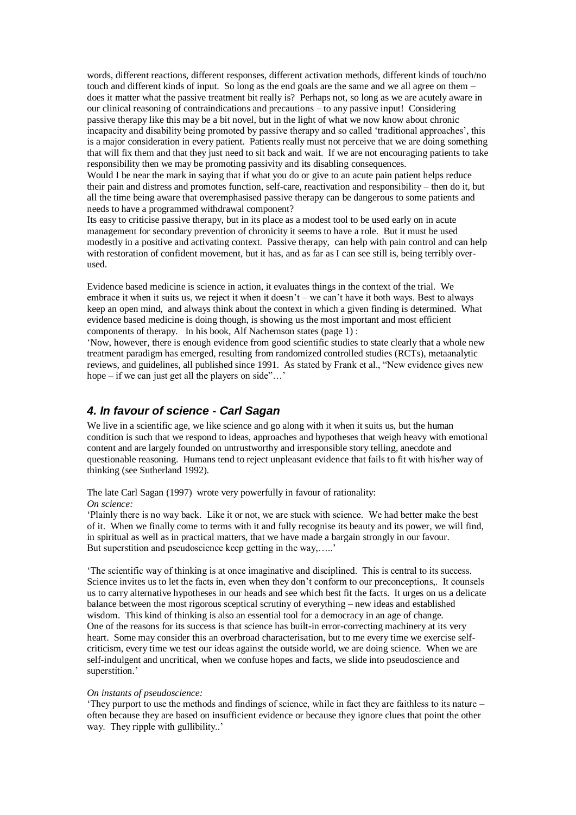words, different reactions, different responses, different activation methods, different kinds of touch/no touch and different kinds of input. So long as the end goals are the same and we all agree on them – does it matter what the passive treatment bit really is? Perhaps not, so long as we are acutely aware in our clinical reasoning of contraindications and precautions – to any passive input! Considering passive therapy like this may be a bit novel, but in the light of what we now know about chronic incapacity and disability being promoted by passive therapy and so called 'traditional approaches', this is a major consideration in every patient. Patients really must not perceive that we are doing something that will fix them and that they just need to sit back and wait. If we are not encouraging patients to take responsibility then we may be promoting passivity and its disabling consequences.

Would I be near the mark in saying that if what you do or give to an acute pain patient helps reduce their pain and distress and promotes function, self-care, reactivation and responsibility – then do it, but all the time being aware that overemphasised passive therapy can be dangerous to some patients and needs to have a programmed withdrawal component?

Its easy to criticise passive therapy, but in its place as a modest tool to be used early on in acute management for secondary prevention of chronicity it seems to have a role. But it must be used modestly in a positive and activating context. Passive therapy, can help with pain control and can help with restoration of confident movement, but it has, and as far as I can see still is, being terribly overused.

Evidence based medicine is science in action, it evaluates things in the context of the trial. We embrace it when it suits us, we reject it when it doesn't – we can't have it both ways. Best to always keep an open mind, and always think about the context in which a given finding is determined. What evidence based medicine is doing though, is showing us the most important and most efficient components of therapy. In his book, Alf Nachemson states (page 1) :

'Now, however, there is enough evidence from good scientific studies to state clearly that a whole new treatment paradigm has emerged, resulting from randomized controlled studies (RCTs), metaanalytic reviews, and guidelines, all published since 1991. As stated by Frank et al., "New evidence gives new hope – if we can just get all the players on side"...'

### *4. In favour of science - Carl Sagan*

We live in a scientific age, we like science and go along with it when it suits us, but the human condition is such that we respond to ideas, approaches and hypotheses that weigh heavy with emotional content and are largely founded on untrustworthy and irresponsible story telling, anecdote and questionable reasoning. Humans tend to reject unpleasant evidence that fails to fit with his/her way of thinking (see Sutherland 1992).

The late Carl Sagan (1997) wrote very powerfully in favour of rationality:

#### *On science:*

'Plainly there is no way back. Like it or not, we are stuck with science. We had better make the best of it. When we finally come to terms with it and fully recognise its beauty and its power, we will find, in spiritual as well as in practical matters, that we have made a bargain strongly in our favour. But superstition and pseudoscience keep getting in the way,.....'

'The scientific way of thinking is at once imaginative and disciplined. This is central to its success. Science invites us to let the facts in, even when they don't conform to our preconceptions,. It counsels us to carry alternative hypotheses in our heads and see which best fit the facts. It urges on us a delicate balance between the most rigorous sceptical scrutiny of everything – new ideas and established wisdom. This kind of thinking is also an essential tool for a democracy in an age of change. One of the reasons for its success is that science has built-in error-correcting machinery at its very heart. Some may consider this an overbroad characterisation, but to me every time we exercise selfcriticism, every time we test our ideas against the outside world, we are doing science. When we are self-indulgent and uncritical, when we confuse hopes and facts, we slide into pseudoscience and superstition.'

#### *On instants of pseudoscience:*

'They purport to use the methods and findings of science, while in fact they are faithless to its nature – often because they are based on insufficient evidence or because they ignore clues that point the other way. They ripple with gullibility..'